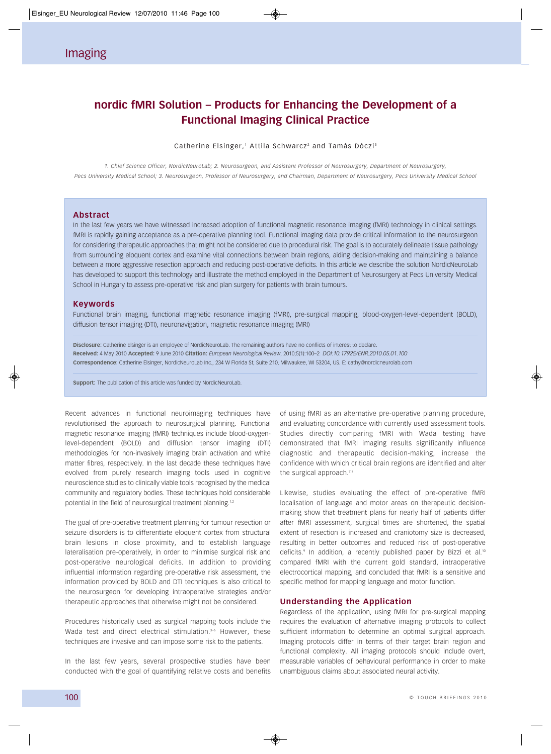# **nordic fMRI Solution – Products for Enhancing the Development of a Functional Imaging Clinical Practice**

Catherine Elsinger,<sup>1</sup> Attila Schwarcz<sup>2</sup> and Tamás Dóczi<sup>3</sup>

*1. Chief Science Officer, NordicNeuroLab; 2. Neurosurgeon, and Assistant Professor of Neurosurgery, Department of Neurosurgery, Pecs University Medical School; 3. Neurosurgeon, Professor of Neurosurgery, and Chairman, Department of Neurosurgery, Pecs University Medical School*

### **Abstract**

In the last few years we have witnessed increased adoption of functional magnetic resonance imaging (fMRI) technology in clinical settings. fMRI is rapidly gaining acceptance as a pre-operative planning tool. Functional imaging data provide critical information to the neurosurgeon for considering therapeutic approaches that might not be considered due to procedural risk. The goal is to accurately delineate tissue pathology from surrounding eloquent cortex and examine vital connections between brain regions, aiding decision-making and maintaining a balance between a more aggressive resection approach and reducing post-operative deficits. In this article we describe the solution NordicNeuroLab has developed to support this technology and illustrate the method employed in the Department of Neurosurgery at Pecs University Medical School in Hungary to assess pre-operative risk and plan surgery for patients with brain tumours.

### **Keywords**

Functional brain imaging, functional magnetic resonance imaging (fMRI), pre-surgical mapping, blood-oxygen-level-dependent (BOLD), diffusion tensor imaging (DTI), neuronavigation, magnetic resonance imaging (MRI)

**Disclosure:** Catherine Elsinger is an employee of NordicNeuroLab. The remaining authors have no conflicts of interest to declare. **Received:** 4 May 2010 **Accepted:** 9 June 2010 **Citation:** *European Neurological Review*, 2010;5(1):100–2 *DOI:10.17925/ENR.2010.05.01.100***Correspondence:** Catherine Elsinger, NordicNeuroLab Inc., 234 W Florida St, Suite 210, Milwaukee, WI 53204, US. E: cathy@nordicneurolab.com

**Support:** The publication of this article was funded by NordicNeuroLab.

Recent advances in functional neuroimaging techniques have revolutionised the approach to neurosurgical planning. Functional magnetic resonance imaging (fMRI) techniques include blood-oxygenlevel-dependent (BOLD) and diffusion tensor imaging (DTI) methodologies for non-invasively imaging brain activation and white matter fibres, respectively. In the last decade these techniques have evolved from purely research imaging tools used in cognitive neuroscience studies to clinically viable tools recognised by the medical community and regulatory bodies. These techniques hold considerable potential in the field of neurosurgical treatment planning.<sup>1,2</sup>

The goal of pre-operative treatment planning for tumour resection or seizure disorders is to differentiate eloquent cortex from structural brain lesions in close proximity, and to establish language lateralisation pre-operatively, in order to minimise surgical risk and post-operative neurological deficits. In addition to providing influential information regarding pre-operative risk assessment, the information provided by BOLD and DTI techniques is also critical to the neurosurgeon for developing intraoperative strategies and/or therapeutic approaches that otherwise might not be considered.

Procedures historically used as surgical mapping tools include the Wada test and direct electrical stimulation.<sup>3-6</sup> However, these techniques are invasive and can impose some risk to the patients.

In the last few years, several prospective studies have been conducted with the goal of quantifying relative costs and benefits

of using fMRI as an alternative pre-operative planning procedure, and evaluating concordance with currently used assessment tools. Studies directly comparing fMRI with Wada testing have demonstrated that fMRI imaging results significantly influence diagnostic and therapeutic decision-making, increase the confidence with which critical brain regions are identified and alter the surgical approach.<sup>7,8</sup>

Likewise, studies evaluating the effect of pre-operative fMRI localisation of language and motor areas on therapeutic decisionmaking show that treatment plans for nearly half of patients differ after fMRI assessment, surgical times are shortened, the spatial extent of resection is increased and craniotomy size is decreased, resulting in better outcomes and reduced risk of post-operative deficits. $9$  In addition, a recently published paper by Bizzi et al.<sup>10</sup> compared fMRI with the current gold standard, intraoperative electrocortical mapping, and concluded that fMRI is a sensitive and specific method for mapping language and motor function.

#### **Understanding the Application**

Regardless of the application, using fMRI for pre-surgical mapping requires the evaluation of alternative imaging protocols to collect sufficient information to determine an optimal surgical approach. Imaging protocols differ in terms of their target brain region and functional complexity. All imaging protocols should include overt, measurable variables of behavioural performance in order to make unambiguous claims about associated neural activity.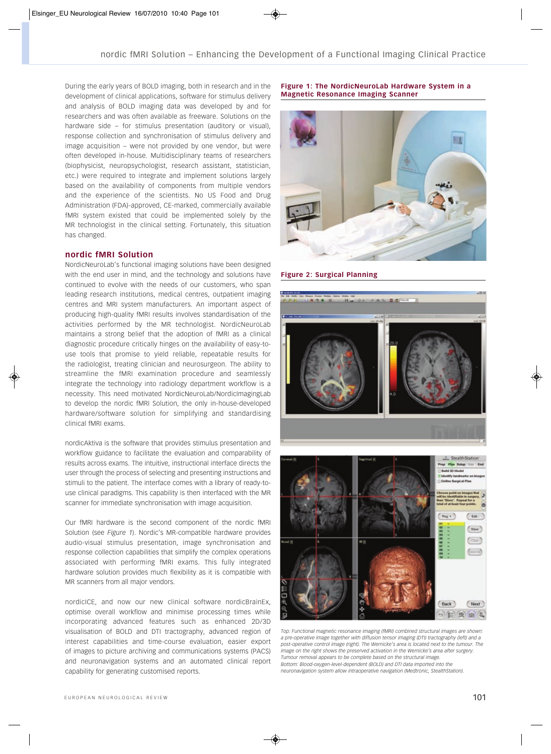During the early years of BOLD imaging, both in research and in the development of clinical applications, software for stimulus delivery and analysis of BOLD imaging data was developed by and for researchers and was often available as freeware. Solutions on the hardware side – for stimulus presentation (auditory or visual), response collection and synchronisation of stimulus delivery and image acquisition – were not provided by one vendor, but were often developed in-house. Multidisciplinary teams of researchers (biophysicist, neuropsychologist, research assistant, statistician, etc.) were required to integrate and implement solutions largely based on the availability of components from multiple vendors and the experience of the scientists. No US Food and Drug Administration (FDA)-approved, CE-marked, commercially available fMRI system existed that could be implemented solely by the MR technologist in the clinical setting. Fortunately, this situation has changed.

### **nordic fMRI Solution**

NordicNeuroLab's functional imaging solutions have been designed with the end user in mind, and the technology and solutions have continued to evolve with the needs of our customers, who span leading research institutions, medical centres, outpatient imaging centres and MRI system manufacturers. An important aspect of producing high-quality fMRI results involves standardisation of the activities performed by the MR technologist. NordicNeuroLab maintains a strong belief that the adoption of fMRI as a clinical diagnostic procedure critically hinges on the availability of easy-touse tools that promise to yield reliable, repeatable results for the radiologist, treating clinician and neurosurgeon. The ability to streamline the fMRI examination procedure and seamlessly integrate the technology into radiology department workflow is a necessity. This need motivated NordicNeuroLab/NordicImagingLab to develop the nordic fMRI Solution, the only in-house-developed hardware/software solution for simplifying and standardising clinical fMRI exams.

nordicAktiva is the software that provides stimulus presentation and workflow guidance to facilitate the evaluation and comparability of results across exams. The intuitive, instructional interface directs the user through the process of selecting and presenting instructions and stimuli to the patient. The interface comes with a library of ready-touse clinical paradigms. This capability is then interfaced with the MR scanner for immediate synchronisation with image acquisition.

Our fMRI hardware is the second component of the nordic fMRI Solution (see *Figure 1*). Nordic's MR-compatible hardware provides audio-visual stimulus presentation, image synchronisation and response collection capabilities that simplify the complex operations associated with performing fMRI exams. This fully integrated hardware solution provides much flexibility as it is compatible with MR scanners from all major vendors.

nordicICE, and now our new clinical software nordicBrainEx, optimise overall workflow and minimise processing times while incorporating advanced features such as enhanced 2D/3D visualisation of BOLD and DTI tractography, advanced region of interest capabilities and time-course evaluation, easier export of images to picture archiving and communications systems (PACS) and neuronavigation systems and an automated clinical report capability for generating customised reports.

**Figure 1: The NordicNeuroLab Hardware System in a Magnetic Resonance Imaging Scanner**



#### **Figure 2: Surgical Planning**





*Top: Functional magnetic resonance imaging (fMRI) combined structural images are shown: a pre-operative image together with diffusion tensor imaging (DTI) tractography (left) and a post-operative control image (right). The Wernicke's area is located next to the tumour. The image on the right shows the preserved activation in the Wernicke's area after surgery. Tumour removal appears to be complete based on the structural image. Bottom: Blood-oxygen-level-dependent (BOLD) and DTI data imported into the neuronavigation system allow intraoperative navigation (Medtronic, StealthStation).*